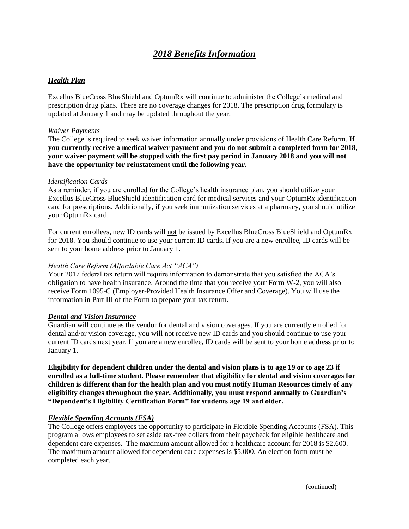# *2018 Benefits Information*

# *Health Plan*

Excellus BlueCross BlueShield and OptumRx will continue to administer the College's medical and prescription drug plans. There are no coverage changes for 2018. The prescription drug formulary is updated at January 1 and may be updated throughout the year.

#### *Waiver Payments*

The College is required to seek waiver information annually under provisions of Health Care Reform. **If you currently receive a medical waiver payment and you do not submit a completed form for 2018, your waiver payment will be stopped with the first pay period in January 2018 and you will not have the opportunity for reinstatement until the following year.**

#### *Identification Cards*

As a reminder, if you are enrolled for the College's health insurance plan, you should utilize your Excellus BlueCross BlueShield identification card for medical services and your OptumRx identification card for prescriptions. Additionally, if you seek immunization services at a pharmacy, you should utilize your OptumRx card.

For current enrollees, new ID cards will not be issued by Excellus BlueCross BlueShield and OptumRx for 2018. You should continue to use your current ID cards. If you are a new enrollee, ID cards will be sent to your home address prior to January 1.

#### *Health Care Reform (Affordable Care Act "ACA")*

Your 2017 federal tax return will require information to demonstrate that you satisfied the ACA's obligation to have health insurance. Around the time that you receive your Form W-2, you will also receive Form 1095-C (Employer-Provided Health Insurance Offer and Coverage). You will use the information in Part III of the Form to prepare your tax return.

## *Dental and Vision Insurance*

Guardian will continue as the vendor for dental and vision coverages. If you are currently enrolled for dental and/or vision coverage, you will not receive new ID cards and you should continue to use your current ID cards next year. If you are a new enrollee, ID cards will be sent to your home address prior to January 1.

**Eligibility for dependent children under the dental and vision plans is to age 19 or to age 23 if enrolled as a full-time student. Please remember that eligibility for dental and vision coverages for children is different than for the health plan and you must notify Human Resources timely of any eligibility changes throughout the year. Additionally, you must respond annually to Guardian's "Dependent's Eligibility Certification Form" for students age 19 and older.**

## *Flexible Spending Accounts (FSA)*

The College offers employees the opportunity to participate in Flexible Spending Accounts (FSA). This program allows employees to set aside tax-free dollars from their paycheck for eligible healthcare and dependent care expenses. The maximum amount allowed for a healthcare account for 2018 is \$2,600. The maximum amount allowed for dependent care expenses is \$5,000. An election form must be completed each year.